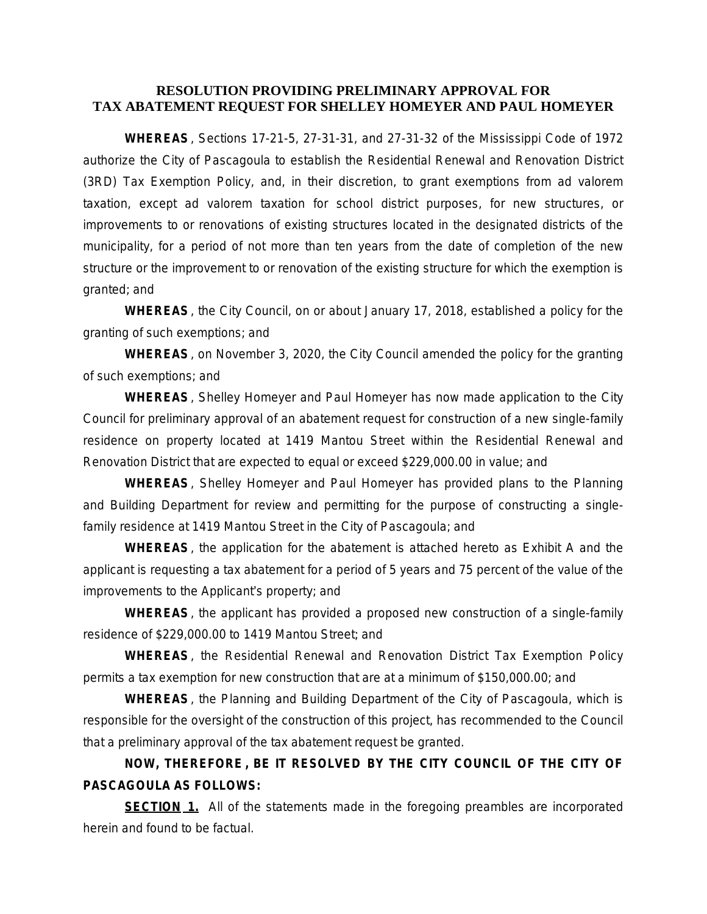## **RESOLUTION PROVIDING PRELIMINARY APPROVAL FOR TAX ABATEMENT REQUEST FOR SHELLEY HOMEYER AND PAUL HOMEYER**

**WHEREAS**, Sections 17-21-5, 27-31-31, and 27-31-32 of the Mississippi Code of 1972 authorize the City of Pascagoula to establish the Residential Renewal and Renovation District (3RD) Tax Exemption Policy, and, in their discretion, to grant exemptions from ad valorem taxation, except ad valorem taxation for school district purposes, for new structures, or improvements to or renovations of existing structures located in the designated districts of the municipality, for a period of not more than ten years from the date of completion of the new structure or the improvement to or renovation of the existing structure for which the exemption is granted; and

**WHEREAS**, the City Council, on or about January 17, 2018, established a policy for the granting of such exemptions; and

**WHEREAS**, on November 3, 2020, the City Council amended the policy for the granting of such exemptions; and

**WHEREAS**, Shelley Homeyer and Paul Homeyer has now made application to the City Council for preliminary approval of an abatement request for construction of a new single-family residence on property located at 1419 Mantou Street within the Residential Renewal and Renovation District that are expected to equal or exceed \$229,000.00 in value; and

**WHEREAS**, Shelley Homeyer and Paul Homeyer has provided plans to the Planning and Building Department for review and permitting for the purpose of constructing a singlefamily residence at 1419 Mantou Street in the City of Pascagoula; and

**WHEREAS**, the application for the abatement is attached hereto as Exhibit A and the applicant is requesting a tax abatement for a period of 5 years and 75 percent of the value of the improvements to the Applicant's property; and

**WHEREAS**, the applicant has provided a proposed new construction of a single-family residence of \$229,000.00 to 1419 Mantou Street; and

**WHEREAS**, the Residential Renewal and Renovation District Tax Exemption Policy permits a tax exemption for new construction that are at a minimum of \$150,000.00; and

**WHEREAS**, the Planning and Building Department of the City of Pascagoula, which is responsible for the oversight of the construction of this project, has recommended to the Council that a preliminary approval of the tax abatement request be granted.

## **NOW, THEREFORE , BE IT RESOLVED BY THE CITY COUNCIL OF THE CITY OF PASCAGOULA AS FOLLOWS:**

**SECTION 1.** All of the statements made in the foregoing preambles are incorporated herein and found to be factual.